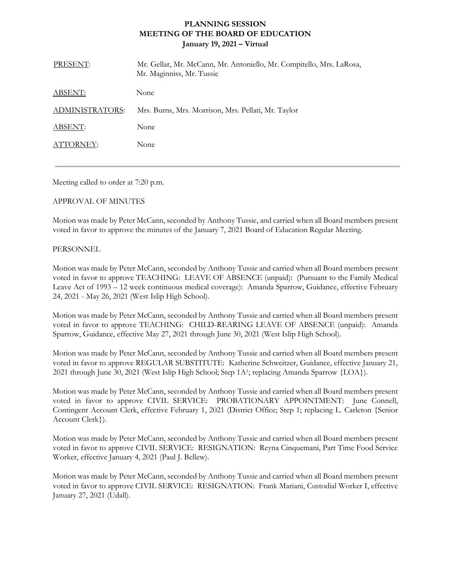## **PLANNING SESSION MEETING OF THE BOARD OF EDUCATION January 19, 2021 – Virtual**

| PRESENT:               | Mr. Gellar, Mr. McCann, Mr. Antoniello, Mr. Compitello, Mrs. LaRosa,<br>Mr. Maginniss, Mr. Tussie |
|------------------------|---------------------------------------------------------------------------------------------------|
| ABSENT:                | None                                                                                              |
| <b>ADMINISTRATORS:</b> | Mrs. Burns, Mrs. Morrison, Mrs. Pellati, Mr. Taylor                                               |
| ABSENT:                | None                                                                                              |
| ATTORNEY:              | None                                                                                              |
|                        |                                                                                                   |

Meeting called to order at 7:20 p.m.

## APPROVAL OF MINUTES

Motion was made by Peter McCann, seconded by Anthony Tussie, and carried when all Board members present voted in favor to approve the minutes of the January 7, 2021 Board of Education Regular Meeting.

## PERSONNEL

Motion was made by Peter McCann, seconded by Anthony Tussie and carried when all Board members present voted in favor to approve TEACHING: LEAVE OF ABSENCE (unpaid): (Pursuant to the Family Medical Leave Act of 1993 – 12 week continuous medical coverage): Amanda Sparrow, Guidance, effective February 24, 2021 - May 26, 2021 (West Islip High School).

Motion was made by Peter McCann, seconded by Anthony Tussie and carried when all Board members present voted in favor to approve TEACHING: CHILD-REARING LEAVE OF ABSENCE (unpaid): Amanda Sparrow, Guidance, effective May 27, 2021 through June 30, 2021 (West Islip High School).

Motion was made by Peter McCann, seconded by Anthony Tussie and carried when all Board members present voted in favor to approve REGULAR SUBSTITUTE: Katherine Schweitzer, Guidance, effective January 21, 2021 through June 30, 2021 (West Islip High School; Step 1A<sup>1</sup> ; replacing Amanda Sparrow {LOA}).

Motion was made by Peter McCann, seconded by Anthony Tussie and carried when all Board members present voted in favor to approve CIVIL SERVICE: PROBATIONARY APPOINTMENT: June Connell, Contingent Account Clerk, effective February 1, 2021 (District Office; Step 1; replacing L. Carleton {Senior Account Clerk}).

Motion was made by Peter McCann, seconded by Anthony Tussie and carried when all Board members present voted in favor to approve CIVIL SERVICE: RESIGNATION: Reyna Cinquemani, Part Time Food Service Worker, effective January 4, 2021 (Paul J. Bellew).

Motion was made by Peter McCann, seconded by Anthony Tussie and carried when all Board members present voted in favor to approve CIVIL SERVICE: RESIGNATION: Frank Mariani, Custodial Worker I, effective January 27, 2021 (Udall).